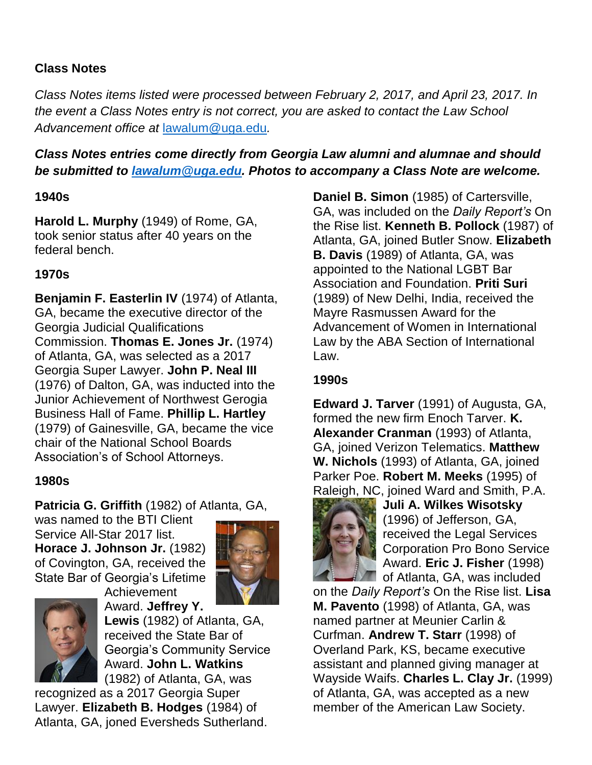### **Class Notes**

*Class Notes items listed were processed between February 2, 2017, and April 23, 2017. In the event a Class Notes entry is not correct, you are asked to contact the Law School Advancement office at* [lawalum@uga.edu](mailto:lawalum@uga.edu)*.*

# *Class Notes entries come directly from Georgia Law alumni and alumnae and should be submitted to [lawalum@uga.edu.](mailto:lawalum@uga.edu) Photos to accompany a Class Note are welcome.*

### **1940s**

**Harold L. Murphy** (1949) of Rome, GA, took senior status after 40 years on the federal bench.

### **1970s**

**Benjamin F. Easterlin IV** (1974) of Atlanta, GA, became the executive director of the Georgia Judicial Qualifications Commission. **Thomas E. Jones Jr.** (1974) of Atlanta, GA, was selected as a 2017 Georgia Super Lawyer. **John P. Neal III**  (1976) of Dalton, GA, was inducted into the Junior Achievement of Northwest Gerogia Business Hall of Fame. **Phillip L. Hartley** (1979) of Gainesville, GA, became the vice chair of the National School Boards Association's of School Attorneys.

### **1980s**

**Patricia G. Griffith** (1982) of Atlanta, GA,

Achievement

was named to the BTI Client Service All-Star 2017 list. **Horace J. Johnson Jr.** (1982) of Covington, GA, received the State Bar of Georgia's Lifetime





Award. **Jeffrey Y. Lewis** (1982) of Atlanta, GA, received the State Bar of Georgia's Community Service Award. **John L. Watkins** (1982) of Atlanta, GA, was

recognized as a 2017 Georgia Super Lawyer. **Elizabeth B. Hodges** (1984) of Atlanta, GA, joned Eversheds Sutherland. **Daniel B. Simon** (1985) of Cartersville, GA, was included on the *Daily Report's* On the Rise list. **Kenneth B. Pollock** (1987) of Atlanta, GA, joined Butler Snow. **Elizabeth B. Davis** (1989) of Atlanta, GA, was appointed to the National LGBT Bar Association and Foundation. **Priti Suri** (1989) of New Delhi, India, received the Mayre Rasmussen Award for the Advancement of Women in International Law by the ABA Section of International Law.

### **1990s**

**Edward J. Tarver** (1991) of Augusta, GA, formed the new firm Enoch Tarver. **K. Alexander Cranman** (1993) of Atlanta, GA, joined Verizon Telematics. **Matthew W. Nichols** (1993) of Atlanta, GA, joined Parker Poe. **Robert M. Meeks** (1995) of Raleigh, NC, joined Ward and Smith, P.A.



**Juli A. Wilkes Wisotsky**  (1996) of Jefferson, GA, received the Legal Services Corporation Pro Bono Service Award. **Eric J. Fisher** (1998) **The State Atlanta, GA, was included** 

on the *Daily Report's* On the Rise list. **Lisa M. Pavento** (1998) of Atlanta, GA, was named partner at Meunier Carlin & Curfman. **Andrew T. Starr** (1998) of Overland Park, KS, became executive assistant and planned giving manager at Wayside Waifs. **Charles L. Clay Jr.** (1999) of Atlanta, GA, was accepted as a new member of the American Law Society.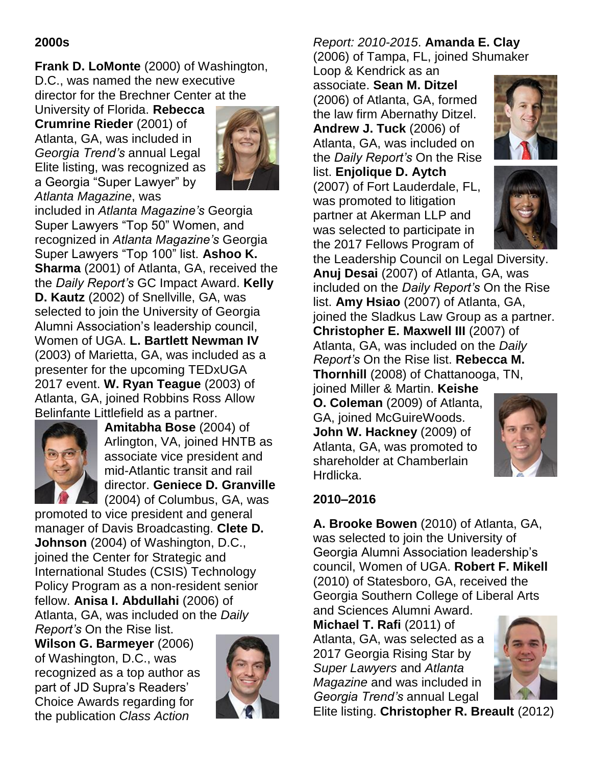#### **2000s**

**Frank D. LoMonte** (2000) of Washington, D.C., was named the new executive director for the Brechner Center at the

University of Florida. **Rebecca Crumrine Rieder** (2001) of Atlanta, GA, was included in *Georgia Trend's* annual Legal Elite listing, was recognized as a Georgia "Super Lawyer" by *Atlanta Magazine*, was



included in *Atlanta Magazine's* Georgia Super Lawyers "Top 50" Women, and recognized in *Atlanta Magazine's* Georgia Super Lawyers "Top 100" list. **Ashoo K. Sharma** (2001) of Atlanta, GA, received the the *Daily Report's* GC Impact Award. **Kelly D. Kautz** (2002) of Snellville, GA, was selected to join the University of Georgia Alumni Association's leadership council, Women of UGA. **L. Bartlett Newman IV**  (2003) of Marietta, GA, was included as a presenter for the upcoming TEDxUGA 2017 event. **W. Ryan Teague** (2003) of Atlanta, GA, joined Robbins Ross Allow Belinfante Littlefield as a partner.



**Amitabha Bose** (2004) of Arlington, VA, joined HNTB as associate vice president and mid-Atlantic transit and rail director. **Geniece D. Granville**

(2004) of Columbus, GA, was promoted to vice president and general manager of Davis Broadcasting. **Clete D. Johnson** (2004) of Washington, D.C., joined the Center for Strategic and International Studes (CSIS) Technology Policy Program as a non-resident senior fellow. **Anisa I. Abdullahi** (2006) of Atlanta, GA, was included on the *Daily Report's* On the Rise list.

**Wilson G. Barmeyer** (2006) of Washington, D.C., was recognized as a top author as part of JD Supra's Readers' Choice Awards regarding for the publication *Class Action* 



## *Report: 2010-2015*. **Amanda E. Clay** (2006) of Tampa, FL, joined Shumaker

Loop & Kendrick as an associate. **Sean M. Ditzel** (2006) of Atlanta, GA, formed the law firm Abernathy Ditzel. **Andrew J. Tuck** (2006) of Atlanta, GA, was included on

the *Daily Report's* On the Rise list. **Enjolique D. Aytch** (2007) of Fort Lauderdale, FL, was promoted to litigation partner at Akerman LLP and was selected to participate in the 2017 Fellows Program of





the Leadership Council on Legal Diversity. **Anuj Desai** (2007) of Atlanta, GA, was included on the *Daily Report's* On the Rise list. **Amy Hsiao** (2007) of Atlanta, GA, joined the Sladkus Law Group as a partner. **Christopher E. Maxwell III** (2007) of Atlanta, GA, was included on the *Daily Report's* On the Rise list. **Rebecca M. Thornhill** (2008) of Chattanooga, TN, joined Miller & Martin. **Keishe** 

**O. Coleman** (2009) of Atlanta, GA, joined McGuireWoods. **John W. Hackney** (2009) of Atlanta, GA, was promoted to shareholder at Chamberlain Hrdlicka.



### **2010–2016**

**A. Brooke Bowen** (2010) of Atlanta, GA, was selected to join the University of Georgia Alumni Association leadership's council, Women of UGA. **Robert F. Mikell**  (2010) of Statesboro, GA, received the Georgia Southern College of Liberal Arts and Sciences Alumni Award.

**Michael T. Rafi** (2011) of Atlanta, GA, was selected as a 2017 Georgia Rising Star by *Super Lawyers* and *Atlanta Magazine* and was included in *Georgia Trend's* annual Legal



Elite listing. **Christopher R. Breault** (2012)